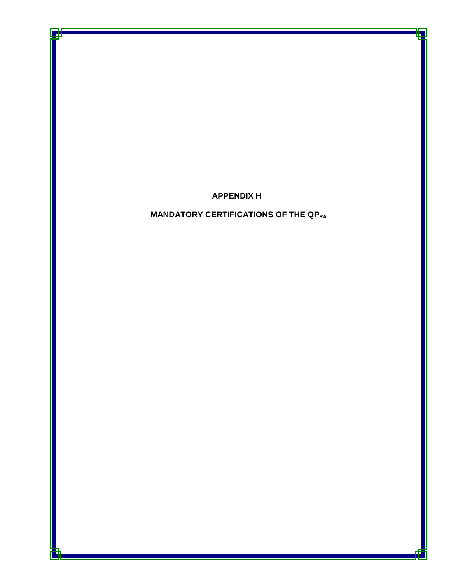## **APPENDIX H**

## **MANDATORY CERTIFICATIONS OF THE QPRA**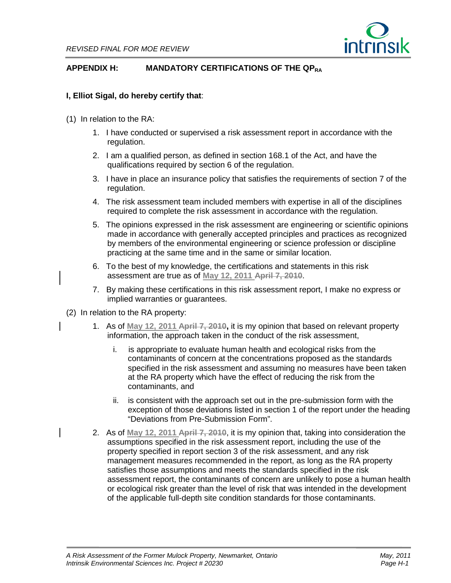

## **APPENDIX H: MANDATORY CERTIFICATIONS OF THE QPRA**

## **I, Elliot Sigal, do hereby certify that**:

- (1) In relation to the RA:
	- 1. I have conducted or supervised a risk assessment report in accordance with the regulation.
	- 2. I am a qualified person, as defined in section 168.1 of the Act, and have the qualifications required by section 6 of the regulation.
	- 3. I have in place an insurance policy that satisfies the requirements of section 7 of the regulation.
	- 4. The risk assessment team included members with expertise in all of the disciplines required to complete the risk assessment in accordance with the regulation.
	- 5. The opinions expressed in the risk assessment are engineering or scientific opinions made in accordance with generally accepted principles and practices as recognized by members of the environmental engineering or science profession or discipline practicing at the same time and in the same or similar location.
	- 6. To the best of my knowledge, the certifications and statements in this risk assessment are true as of **May 12, 2011 April 7, 2010**.
	- 7. By making these certifications in this risk assessment report, I make no express or implied warranties or guarantees.
- (2) In relation to the RA property:
	- 1. As of **May 12, 2011 April 7, 2010,** it is my opinion that based on relevant property information, the approach taken in the conduct of the risk assessment,
		- i. is appropriate to evaluate human health and ecological risks from the contaminants of concern at the concentrations proposed as the standards specified in the risk assessment and assuming no measures have been taken at the RA property which have the effect of reducing the risk from the contaminants, and
		- ii. is consistent with the approach set out in the pre-submission form with the exception of those deviations listed in section 1 of the report under the heading "Deviations from Pre-Submission Form".
	- 2. As of **May 12, 2011 April 7, 2010**, it is my opinion that, taking into consideration the assumptions specified in the risk assessment report, including the use of the property specified in report section 3 of the risk assessment, and any risk management measures recommended in the report, as long as the RA property satisfies those assumptions and meets the standards specified in the risk assessment report, the contaminants of concern are unlikely to pose a human health or ecological risk greater than the level of risk that was intended in the development of the applicable full-depth site condition standards for those contaminants.